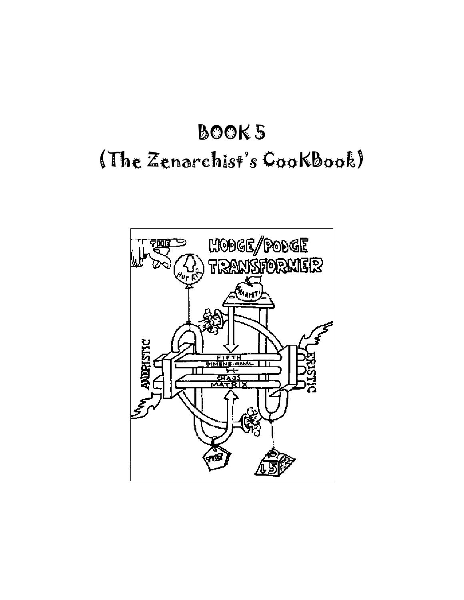# BOOK 5 (The Zenarchist's CooKBook)

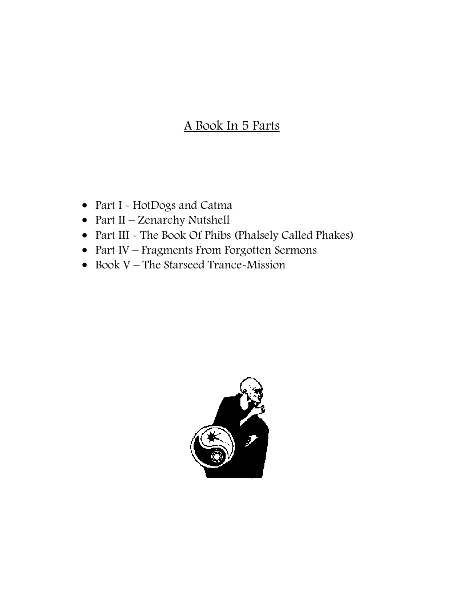# A Book In 5 Parts

- Part I HotDogs and Catma
- Part II Zenarchy Nutshell
- Part III The Book Of Phibs (Phalsely Called Phakes)
- Part IV Fragments From Forgotten Sermons
- Book V The Starseed Trance-Mission

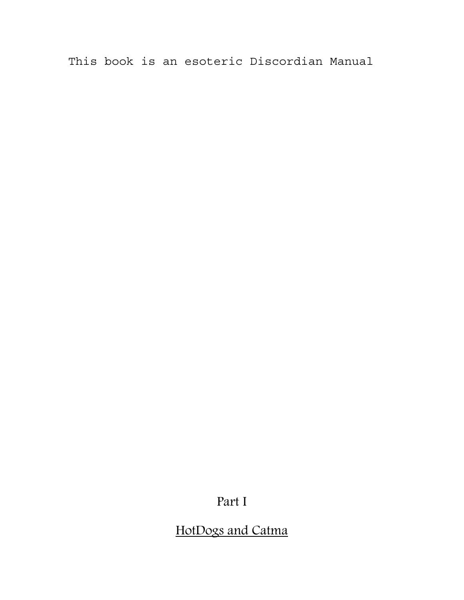This book is an esoteric Discordian Manual

# Part I

## HotDogs and Catma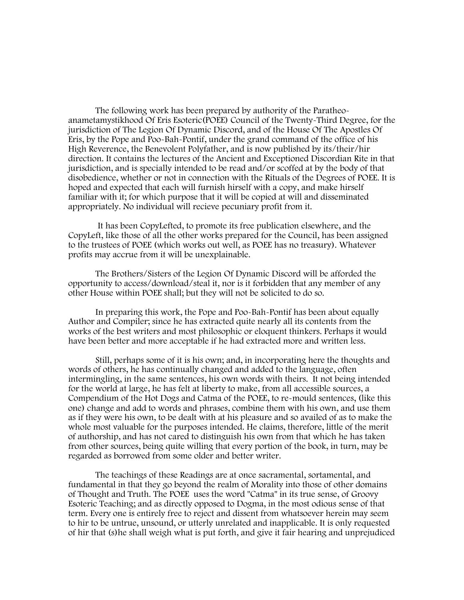The following work has been prepared by authority of the Paratheoanametamystikhood Of Eris Esoteric(POEE) Council of the Twenty-Third Degree, for the jurisdiction of The Legion Of Dynamic Discord, and of the House Of The Apostles Of Eris, by the Pope and Poo-Bah-Pontif, under the grand command of the office of his High Reverence, the Benevolent Polyfather, and is now published by its/their/hir direction. It contains the lectures of the Ancient and Exceptioned Discordian Rite in that jurisdiction, and is specially intended to be read and/or scoffed at by the body of that disobedience, whether or not in connection with the Rituals of the Degrees of POEE. It is hoped and expected that each will furnish hirself with a copy, and make hirself familiar with it; for which purpose that it will be copied at will and disseminated appropriately. No individual will recieve pecuniary profit from it.

 It has been CopyLefted, to promote its free publication elsewhere, and the CopyLeft, like those of all the other works prepared for the Council, has been assigned to the trustees of POEE (which works out well, as POEE has no treasury). Whatever profits may accrue from it will be unexplainable.

 The Brothers/Sisters of the Legion Of Dynamic Discord will be afforded the opportunity to access/download/steal it, nor is it forbidden that any member of any other House within POEE shall; but they will not be solicited to do so.

 In preparing this work, the Pope and Poo-Bah-Pontif has been about equally Author and Compiler; since he has extracted quite nearly all its contents from the works of the best writers and most philosophic or eloquent thinkers. Perhaps it would have been better and more acceptable if he had extracted more and written less.

 Still, perhaps some of it is his own; and, in incorporating here the thoughts and words of others, he has continually changed and added to the language, often intermingling, in the same sentences, his own words with theirs. It not being intended for the world at large, he has felt at liberty to make, from all accessible sources, a Compendium of the Hot Dogs and Catma of the POEE, to re-mould sentences, (like this one) change and add to words and phrases, combine them with his own, and use them as if they were his own, to be dealt with at his pleasure and so availed of as to make the whole most valuable for the purposes intended. He claims, therefore, little of the merit of authorship, and has not cared to distinguish his own from that which he has taken from other sources, being quite willing that every portion of the book, in turn, may be regarded as borrowed from some older and better writer.

 The teachings of these Readings are at once sacramental, sortamental, and fundamental in that they go beyond the realm of Morality into those of other domains of Thought and Truth. The POEE uses the word "Catma" in its true sense, of Groovy Esoteric Teaching; and as directly opposed to Dogma, in the most odious sense of that term. Every one is entirely free to reject and dissent from whatsoever herein may seem to hir to be untrue, unsound, or utterly unrelated and inapplicable. It is only requested of hir that (s)he shall weigh what is put forth, and give it fair hearing and unprejudiced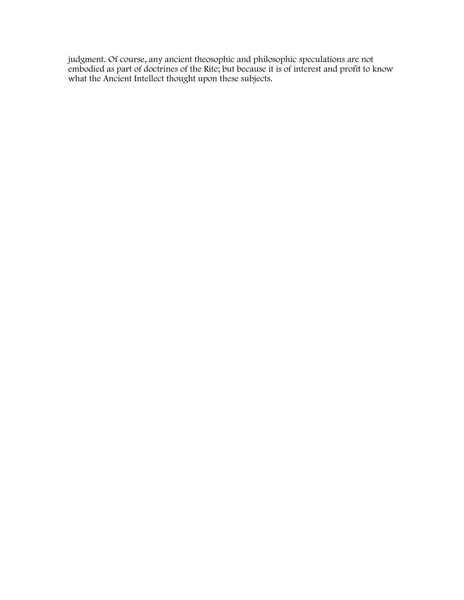judgment. Of course, any ancient theosophic and philosophic speculations are not embodied as part of doctrines of the Rite; but because it is of interest and profit to know what the Ancient Intellect thought upon these subjects.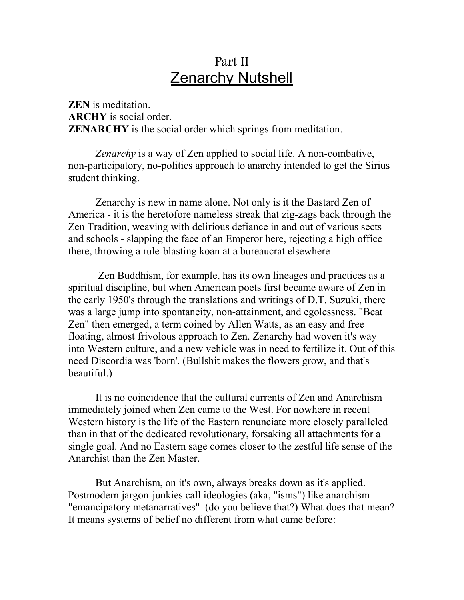# Part II **Zenarchy Nutshell**

**ZEN** is meditation. **ARCHY** is social order. **ZENARCHY** is the social order which springs from meditation.

*Zenarchy* is a way of Zen applied to social life. A non-combative, non-participatory, no-politics approach to anarchy intended to get the Sirius student thinking.

Zenarchy is new in name alone. Not only is it the Bastard Zen of America - it is the heretofore nameless streak that zig-zags back through the Zen Tradition, weaving with delirious defiance in and out of various sects and schools - slapping the face of an Emperor here, rejecting a high office there, throwing a rule-blasting koan at a bureaucrat elsewhere

 Zen Buddhism, for example, has its own lineages and practices as a spiritual discipline, but when American poets first became aware of Zen in the early 1950's through the translations and writings of D.T. Suzuki, there was a large jump into spontaneity, non-attainment, and egolessness. "Beat Zen" then emerged, a term coined by Allen Watts, as an easy and free floating, almost frivolous approach to Zen. Zenarchy had woven it's way into Western culture, and a new vehicle was in need to fertilize it. Out of this need Discordia was 'born'. (Bullshit makes the flowers grow, and that's beautiful.)

It is no coincidence that the cultural currents of Zen and Anarchism immediately joined when Zen came to the West. For nowhere in recent Western history is the life of the Eastern renunciate more closely paralleled than in that of the dedicated revolutionary, forsaking all attachments for a single goal. And no Eastern sage comes closer to the zestful life sense of the Anarchist than the Zen Master.

But Anarchism, on it's own, always breaks down as it's applied. Postmodern jargon-junkies call ideologies (aka, "isms") like anarchism "emancipatory metanarratives" (do you believe that?) What does that mean? It means systems of belief no different from what came before: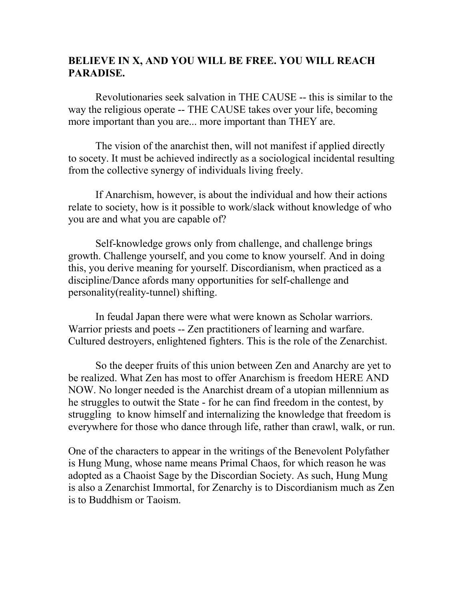### **BELIEVE IN X, AND YOU WILL BE FREE. YOU WILL REACH PARADISE.**

Revolutionaries seek salvation in THE CAUSE -- this is similar to the way the religious operate -- THE CAUSE takes over your life, becoming more important than you are... more important than THEY are.

The vision of the anarchist then, will not manifest if applied directly to socety. It must be achieved indirectly as a sociological incidental resulting from the collective synergy of individuals living freely.

If Anarchism, however, is about the individual and how their actions relate to society, how is it possible to work/slack without knowledge of who you are and what you are capable of?

Self-knowledge grows only from challenge, and challenge brings growth. Challenge yourself, and you come to know yourself. And in doing this, you derive meaning for yourself. Discordianism, when practiced as a discipline/Dance afords many opportunities for self-challenge and personality(reality-tunnel) shifting.

In feudal Japan there were what were known as Scholar warriors. Warrior priests and poets -- Zen practitioners of learning and warfare. Cultured destroyers, enlightened fighters. This is the role of the Zenarchist.

So the deeper fruits of this union between Zen and Anarchy are yet to be realized. What Zen has most to offer Anarchism is freedom HERE AND NOW. No longer needed is the Anarchist dream of a utopian millennium as he struggles to outwit the State - for he can find freedom in the contest, by struggling to know himself and internalizing the knowledge that freedom is everywhere for those who dance through life, rather than crawl, walk, or run.

One of the characters to appear in the writings of the Benevolent Polyfather is Hung Mung, whose name means Primal Chaos, for which reason he was adopted as a Chaoist Sage by the Discordian Society. As such, Hung Mung is also a Zenarchist Immortal, for Zenarchy is to Discordianism much as Zen is to Buddhism or Taoism.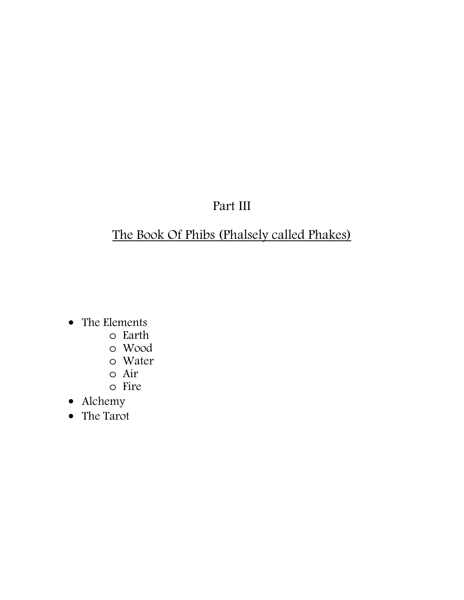# Part III

# The Book Of Phibs (Phalsely called Phakes)

- The Elements
	- o Earth
	- o Wood
	- o Water
	- o Air
	- o Fire
- Alchemy
- The Tarot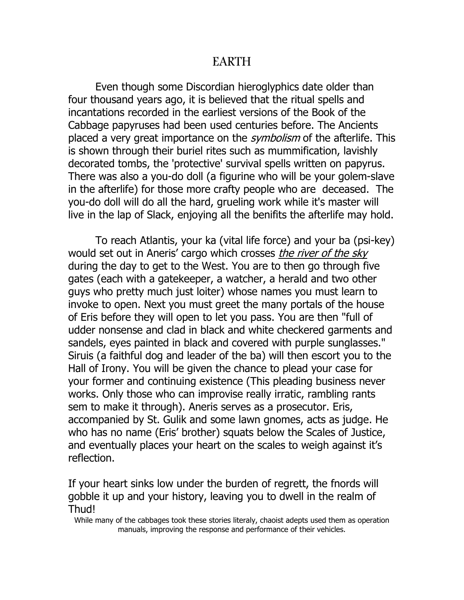### EARTH

Even though some Discordian hieroglyphics date older than four thousand years ago, it is believed that the ritual spells and incantations recorded in the earliest versions of the Book of the Cabbage papyruses had been used centuries before. The Ancients placed a very great importance on the *symbolism* of the afterlife. This is shown through their buriel rites such as mummification, lavishly decorated tombs, the 'protective' survival spells written on papyrus. There was also a you-do doll (a figurine who will be your golem-slave in the afterlife) for those more crafty people who are deceased. The you-do doll will do all the hard, grueling work while it's master will live in the lap of Slack, enjoying all the benifits the afterlife may hold.

To reach Atlantis, your ka (vital life force) and your ba (psi-key) would set out in Aneris' cargo which crosses the river of the sky during the day to get to the West. You are to then go through five gates (each with a gatekeeper, a watcher, a herald and two other guys who pretty much just loiter) whose names you must learn to invoke to open. Next you must greet the many portals of the house of Eris before they will open to let you pass. You are then "full of udder nonsense and clad in black and white checkered garments and sandels, eyes painted in black and covered with purple sunglasses." Siruis (a faithful dog and leader of the ba) will then escort you to the Hall of Irony. You will be given the chance to plead your case for your former and continuing existence (This pleading business never works. Only those who can improvise really irratic, rambling rants sem to make it through). Aneris serves as a prosecutor. Eris, accompanied by St. Gulik and some lawn gnomes, acts as judge. He who has no name (Eris' brother) squats below the Scales of Justice, and eventually places your heart on the scales to weigh against it's reflection.

If your heart sinks low under the burden of regrett, the fnords will gobble it up and your history, leaving you to dwell in the realm of Thud!

While many of the cabbages took these stories literaly, chaoist adepts used them as operation manuals, improving the response and performance of their vehicles.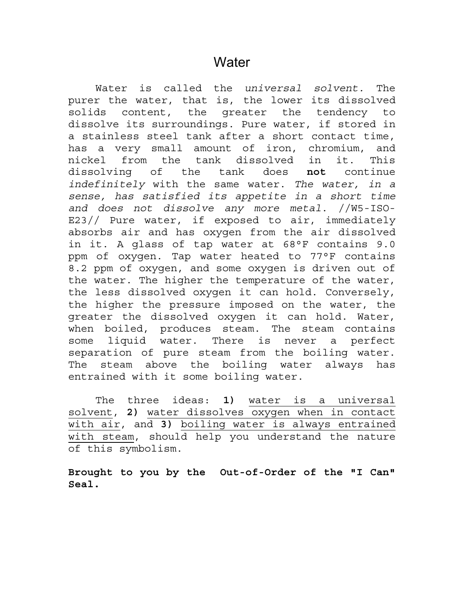### **Water**

Water is called the *universal solvent.* The purer the water, that is, the lower its dissolved solids content, the greater the tendency to dissolve its surroundings. Pure water, if stored in a stainless steel tank after a short contact time, has a very small amount of iron, chromium, and nickel from the tank dissolved in it. This dissolving of the tank does **not** continue *indefinitely* with the same water. *The water, in a sense, has satisfied its appetite in a short time and does not dissolve any more metal*. //W5-ISO-E23// Pure water, if exposed to air, immediately absorbs air and has oxygen from the air dissolved in it. A glass of tap water at 68°F contains 9.0 ppm of oxygen. Tap water heated to 77°F contains 8.2 ppm of oxygen, and some oxygen is driven out of the water. The higher the temperature of the water, the less dissolved oxygen it can hold. Conversely, the higher the pressure imposed on the water, the greater the dissolved oxygen it can hold. Water, when boiled, produces steam. The steam contains some liquid water. There is never a perfect separation of pure steam from the boiling water. The steam above the boiling water always has entrained with it some boiling water.

The three ideas: **1)** water is a universal solvent, **2)** water dissolves oxygen when in contact with air, and **3)** boiling water is always entrained with steam, should help you understand the nature of this symbolism.

**Brought to you by the Out-of-Order of the "I Can" Seal.**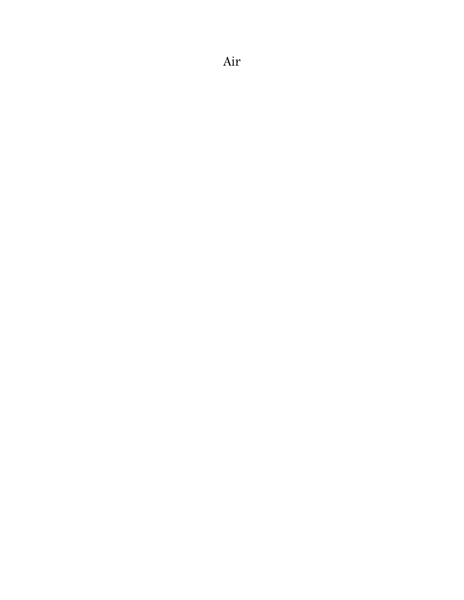# Air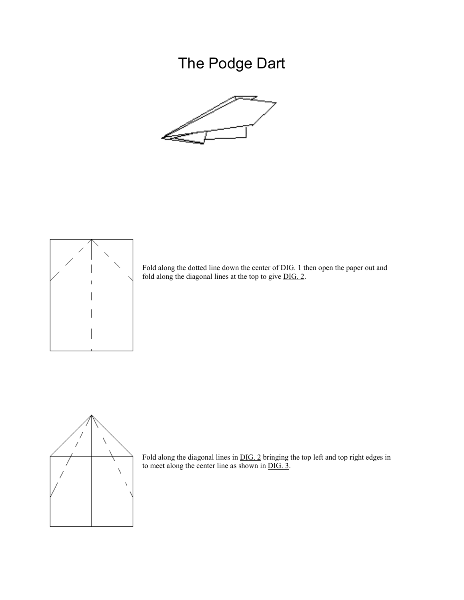# The Podge Dart





Fold along the dotted line down the center of **DIG.** 1 then open the paper out and fold along the diagonal lines at the top to give **DIG. 2.** 



Fold along the diagonal lines in **DIG. 2** bringing the top left and top right edges in to meet along the center line as shown in DIG. 3.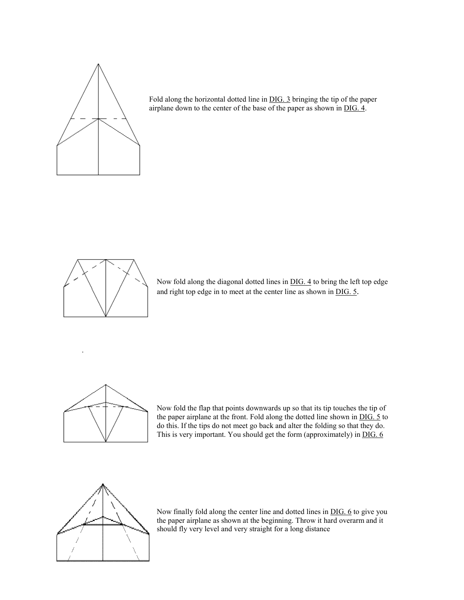

Fold along the horizontal dotted line in DIG. 3 bringing the tip of the paper airplane down to the center of the base of the paper as shown in DIG. 4.



.

Now fold along the diagonal dotted lines in DIG. 4 to bring the left top edge and right top edge in to meet at the center line as shown in DIG. 5.



Now fold the flap that points downwards up so that its tip touches the tip of the paper airplane at the front. Fold along the dotted line shown in DIG. 5 to do this. If the tips do not meet go back and alter the folding so that they do. This is very important. You should get the form (approximately) in DIG. 6



Now finally fold along the center line and dotted lines in DIG. 6 to give you the paper airplane as shown at the beginning. Throw it hard overarm and it should fly very level and very straight for a long distance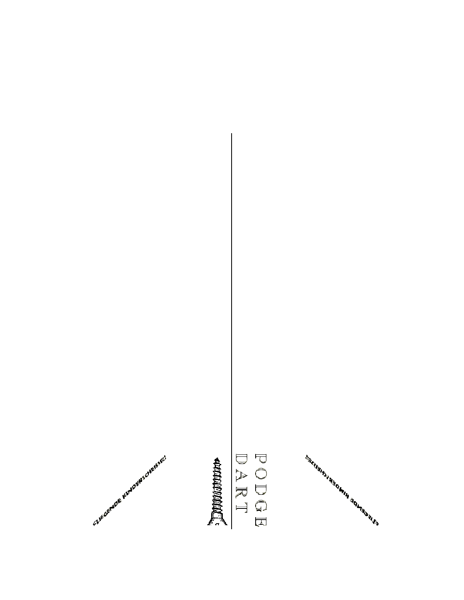

FODCE<br>DART

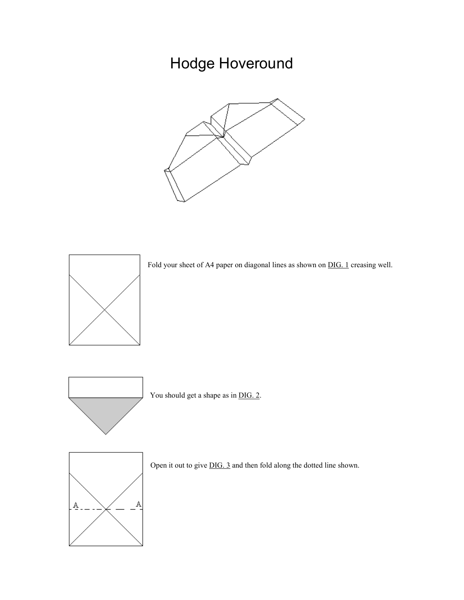# Hodge Hoveround





Fold your sheet of A4 paper on diagonal lines as shown on **DIG. 1** creasing well.



You should get a shape as in <u>DIG. 2</u>.



Open it out to give DIG. 3 and then fold along the dotted line shown.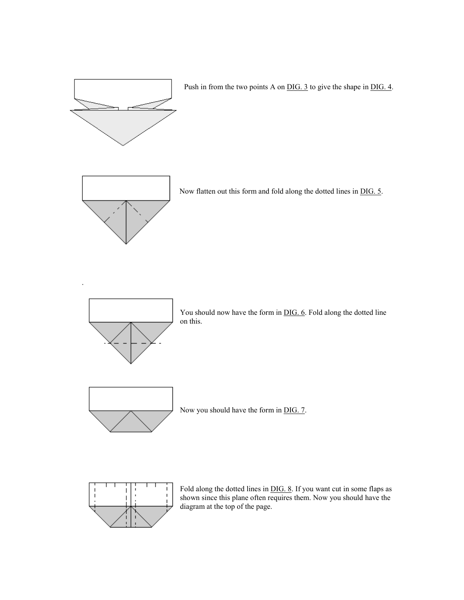



Fold along the dotted lines in DIG. 8. If you want cut in some flaps as shown since this plane often requires them. Now you should have the diagram at the top of the page.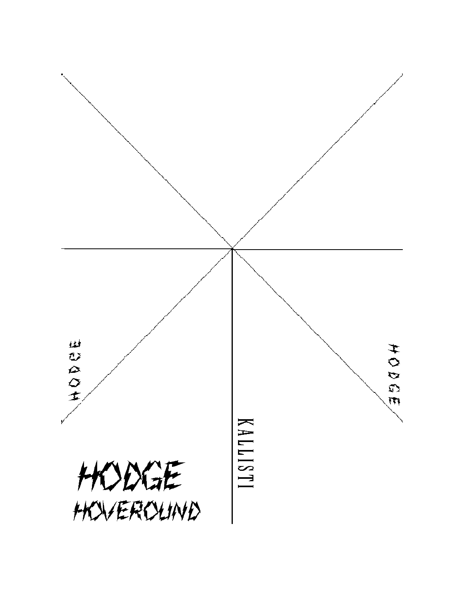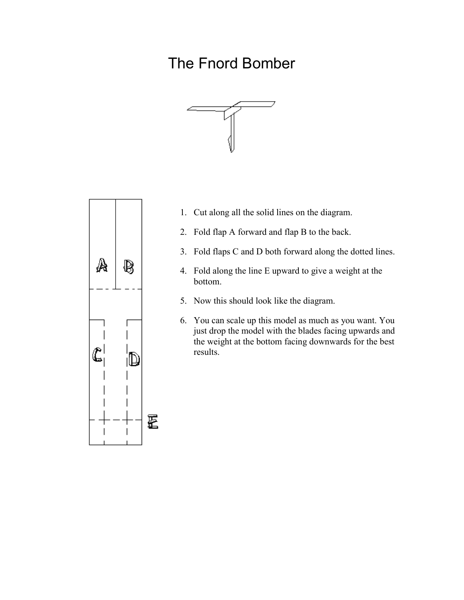# The Fnord Bomber





- 1. Cut along all the solid lines on the diagram.
- 2. Fold flap A forward and flap B to the back.
- 3. Fold flaps C and D both forward along the dotted lines.
- 4. Fold along the line E upward to give a weight at the bottom.
- 5. Now this should look like the diagram.
- 6. You can scale up this model as much as you want. You just drop the model with the blades facing upwards and the weight at the bottom facing downwards for the best results.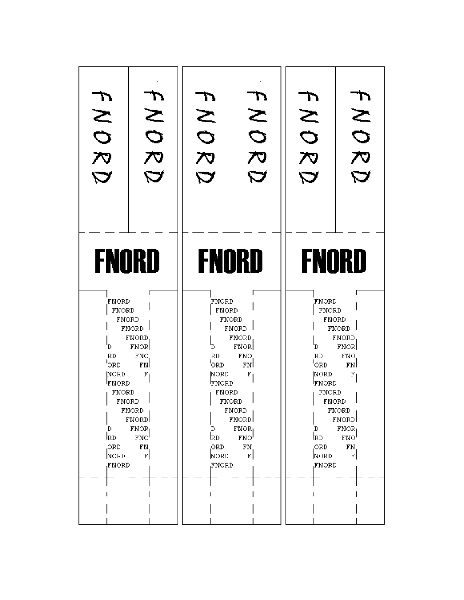| T)<br>N O<br>R<br>D                                                                                                                                                                                                                                                               | ℸℸ<br>N O<br>$\overline{\mathcal{R}}$<br>$\tilde{\mathbf{z}}$ | ᅮ<br><b>NO</b><br>为<br>$\boldsymbol{\vartriangle}$                                                                                                                                                                                                                                   | ℸℸ<br>N D<br>$\overline{\mathcal{D}}$<br>$\tilde{\mathbf{z}}$ | ᠇᠊<br>N D<br>穴<br>$\tilde{\mathbf{z}}$                                                                                                                                                                                                                                                   | ℸ<br><b>NO</b><br>$\overline{\mathcal{R}}$<br>$\tilde{\mathbf{z}}$ |
|-----------------------------------------------------------------------------------------------------------------------------------------------------------------------------------------------------------------------------------------------------------------------------------|---------------------------------------------------------------|--------------------------------------------------------------------------------------------------------------------------------------------------------------------------------------------------------------------------------------------------------------------------------------|---------------------------------------------------------------|------------------------------------------------------------------------------------------------------------------------------------------------------------------------------------------------------------------------------------------------------------------------------------------|--------------------------------------------------------------------|
| <b>FNORD</b><br>FNORD<br>FNORD<br>FNORD<br>FNORD<br>FNORD<br><b>FNOR</b><br>'D<br>RD<br><b>FNO</b><br>'ORD<br>FN<br>NORD<br>F<br><b>FNORD</b><br>FNORD<br>FNORD<br>FNORD<br><b>FNORD</b><br>$FNOR_1$<br>D.<br><b>RD</b><br>FNO'<br>ORD .<br>F <sub>N</sub><br>F <br>NORD<br>FNORD |                                                               | <b>FNORD</b><br>FNORD<br>FNORD<br>FNORD<br>FNORD<br>FNORD<br><b>FNOR</b><br>'D<br>RD<br>FNO<br>'ORD<br>FN<br>NORD<br>F<br>FNORD<br><b>FNORD</b><br>FNORD<br>FNORD<br><b>FNORD</b><br>$FNOR_1$<br>D.<br><b>RD</b><br>FNO <sup>1</sup><br>ORD<br>F <sub>N</sub><br>F <br>NORD<br>FNORD |                                                               | <b>FNORD</b><br>FNORD<br>FNORD<br>FNORD<br><b>FNORD</b><br>FNORD<br><b>FNOR</b><br>D<br>RD.<br><b>FNO</b><br>$^{\prime}$ ORD<br><b>FN</b><br>NORD<br>F<br>FNORD<br><b>FNORD</b><br>FNORD<br>FNORD<br><b>FNORD</b><br>$FNOR_1$<br>D.<br><b>RD</b><br>FNO'<br>ORD FN<br>F<br>NORD<br>FNORD |                                                                    |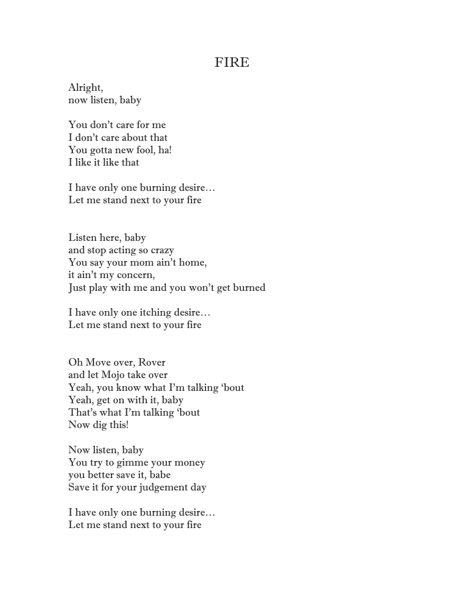### FIRE

Alright, now listen, baby

You don't care for me I don't care about that You gotta new fool, ha! I like it like that

I have only one burning desire… Let me stand next to your fire

Listen here, baby and stop acting so crazy You say your mom ain't home, it ain't my concern, Just play with me and you won't get burned

I have only one itching desire… Let me stand next to your fire

Oh Move over, Rover and let Mojo take over Yeah, you know what I'm talking 'bout Yeah, get on with it, baby That's what I'm talking 'bout Now dig this!

Now listen, baby You try to gimme your money you better save it, babe Save it for your judgement day

I have only one burning desire… Let me stand next to your fire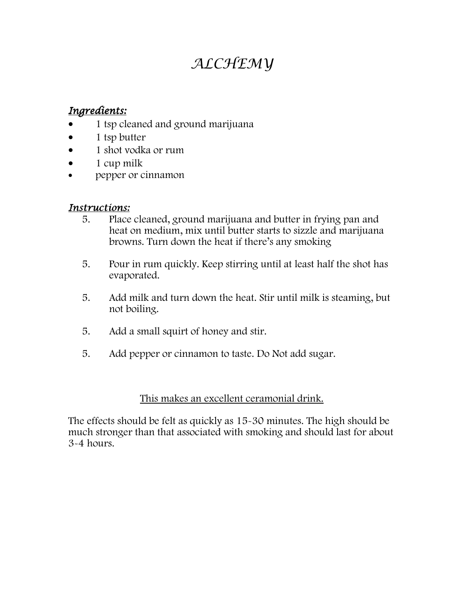# *ALCHEMY*

### *Ingredients:*

- 1 tsp cleaned and ground marijuana
- 1 tsp butter
- 1 shot vodka or rum
- 1 cup milk
- pepper or cinnamon

### *Instructions:*

- 5. Place cleaned, ground marijuana and butter in frying pan and heat on medium, mix until butter starts to sizzle and marijuana browns. Turn down the heat if there's any smoking
- 5. Pour in rum quickly. Keep stirring until at least half the shot has evaporated.
- 5. Add milk and turn down the heat. Stir until milk is steaming, but not boiling.
- 5. Add a small squirt of honey and stir.
- 5. Add pepper or cinnamon to taste. Do Not add sugar.

### This makes an excellent ceramonial drink.

The effects should be felt as quickly as 15-30 minutes. The high should be much stronger than that associated with smoking and should last for about 3-4 hours.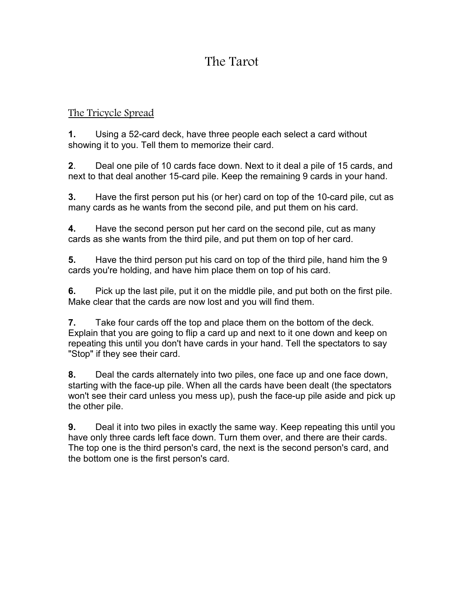### The Tarot

### The Tricycle Spread

**1.** Using a 52-card deck, have three people each select a card without showing it to you. Tell them to memorize their card.

**2**. Deal one pile of 10 cards face down. Next to it deal a pile of 15 cards, and next to that deal another 15-card pile. Keep the remaining 9 cards in your hand.

**3.** Have the first person put his (or her) card on top of the 10-card pile, cut as many cards as he wants from the second pile, and put them on his card.

**4.** Have the second person put her card on the second pile, cut as many cards as she wants from the third pile, and put them on top of her card.

**5.** Have the third person put his card on top of the third pile, hand him the 9 cards you're holding, and have him place them on top of his card.

**6.** Pick up the last pile, put it on the middle pile, and put both on the first pile. Make clear that the cards are now lost and you will find them.

**7.** Take four cards off the top and place them on the bottom of the deck. Explain that you are going to flip a card up and next to it one down and keep on repeating this until you don't have cards in your hand. Tell the spectators to say "Stop" if they see their card.

**8.** Deal the cards alternately into two piles, one face up and one face down, starting with the face-up pile. When all the cards have been dealt (the spectators won't see their card unless you mess up), push the face-up pile aside and pick up the other pile.

**9.** Deal it into two piles in exactly the same way. Keep repeating this until you have only three cards left face down. Turn them over, and there are their cards. The top one is the third person's card, the next is the second person's card, and the bottom one is the first person's card.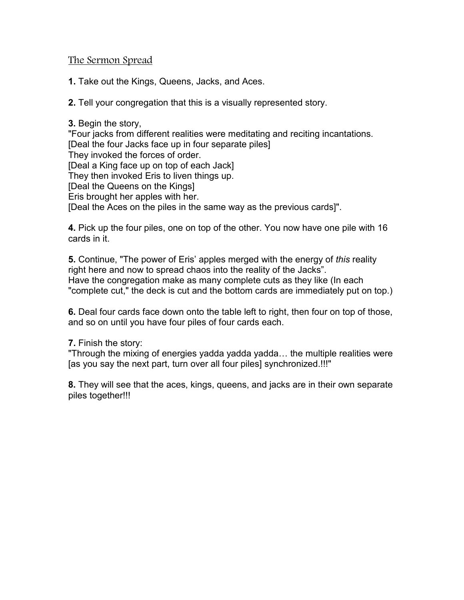#### The Sermon Spread

**1.** Take out the Kings, Queens, Jacks, and Aces.

**2.** Tell your congregation that this is a visually represented story.

**3.** Begin the story, "Four jacks from different realities were meditating and reciting incantations. [Deal the four Jacks face up in four separate piles] They invoked the forces of order. [Deal a King face up on top of each Jack] They then invoked Eris to liven things up. [Deal the Queens on the Kings] Eris brought her apples with her. [Deal the Aces on the piles in the same way as the previous cards]".

**4.** Pick up the four piles, one on top of the other. You now have one pile with 16 cards in it.

**5.** Continue, "The power of Eris' apples merged with the energy of *this* reality right here and now to spread chaos into the reality of the Jacks". Have the congregation make as many complete cuts as they like (In each "complete cut," the deck is cut and the bottom cards are immediately put on top.)

**6.** Deal four cards face down onto the table left to right, then four on top of those, and so on until you have four piles of four cards each.

**7.** Finish the story:

"Through the mixing of energies yadda yadda yadda… the multiple realities were [as you say the next part, turn over all four piles] synchronized.!!!"

**8.** They will see that the aces, kings, queens, and jacks are in their own separate piles together!!!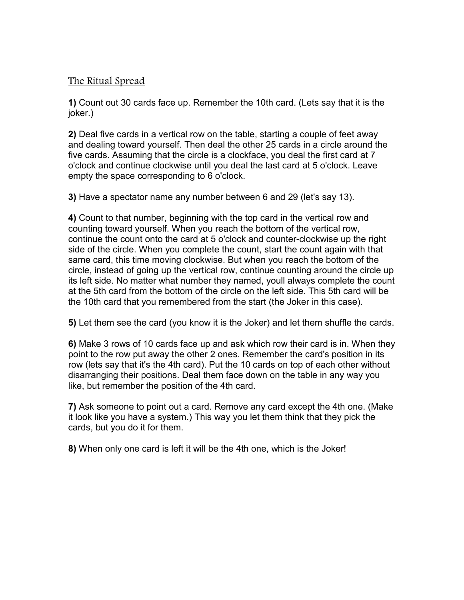#### The Ritual Spread

**1)** Count out 30 cards face up. Remember the 10th card. (Lets say that it is the joker.)

**2)** Deal five cards in a vertical row on the table, starting a couple of feet away and dealing toward yourself. Then deal the other 25 cards in a circle around the five cards. Assuming that the circle is a clockface, you deal the first card at 7 o'clock and continue clockwise until you deal the last card at 5 o'clock. Leave empty the space corresponding to 6 o'clock.

**3)** Have a spectator name any number between 6 and 29 (let's say 13).

**4)** Count to that number, beginning with the top card in the vertical row and counting toward yourself. When you reach the bottom of the vertical row, continue the count onto the card at 5 o'clock and counter-clockwise up the right side of the circle. When you complete the count, start the count again with that same card, this time moving clockwise. But when you reach the bottom of the circle, instead of going up the vertical row, continue counting around the circle up its left side. No matter what number they named, youll always complete the count at the 5th card from the bottom of the circle on the left side. This 5th card will be the 10th card that you remembered from the start (the Joker in this case).

**5)** Let them see the card (you know it is the Joker) and let them shuffle the cards.

**6)** Make 3 rows of 10 cards face up and ask which row their card is in. When they point to the row put away the other 2 ones. Remember the card's position in its row (lets say that it's the 4th card). Put the 10 cards on top of each other without disarranging their positions. Deal them face down on the table in any way you like, but remember the position of the 4th card.

**7)** Ask someone to point out a card. Remove any card except the 4th one. (Make it look like you have a system.) This way you let them think that they pick the cards, but you do it for them.

**8)** When only one card is left it will be the 4th one, which is the Joker!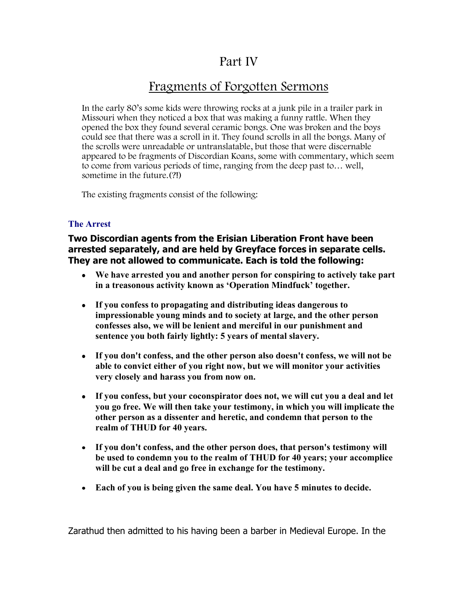### Part IV

### Fragments of Forgotten Sermons

In the early 80's some kids were throwing rocks at a junk pile in a trailer park in Missouri when they noticed a box that was making a funny rattle. When they opened the box they found several ceramic bongs. One was broken and the boys could see that there was a scroll in it. They found scrolls in all the bongs. Many of the scrolls were unreadable or untranslatable, but those that were discernable appeared to be fragments of Discordian Koans, some with commentary, which seem to come from various periods of time, ranging from the deep past to… well, sometime in the future.(?!)

The existing fragments consist of the following:

#### **The Arrest**

**Two Discordian agents from the Erisian Liberation Front have been arrested separately, and are held by Greyface forces in separate cells. They are not allowed to communicate. Each is told the following:** 

- **We have arrested you and another person for conspiring to actively take part in a treasonous activity known as 'Operation Mindfuck' together.**
- **If you confess to propagating and distributing ideas dangerous to impressionable young minds and to society at large, and the other person confesses also, we will be lenient and merciful in our punishment and sentence you both fairly lightly: 5 years of mental slavery.**
- **If you don't confess, and the other person also doesn't confess, we will not be able to convict either of you right now, but we will monitor your activities very closely and harass you from now on.**
- **If you confess, but your coconspirator does not, we will cut you a deal and let you go free. We will then take your testimony, in which you will implicate the other person as a dissenter and heretic, and condemn that person to the realm of THUD for 40 years.**
- **If you don't confess, and the other person does, that person's testimony will be used to condemn you to the realm of THUD for 40 years; your accomplice will be cut a deal and go free in exchange for the testimony.**
- **Each of you is being given the same deal. You have 5 minutes to decide.**

Zarathud then admitted to his having been a barber in Medieval Europe. In the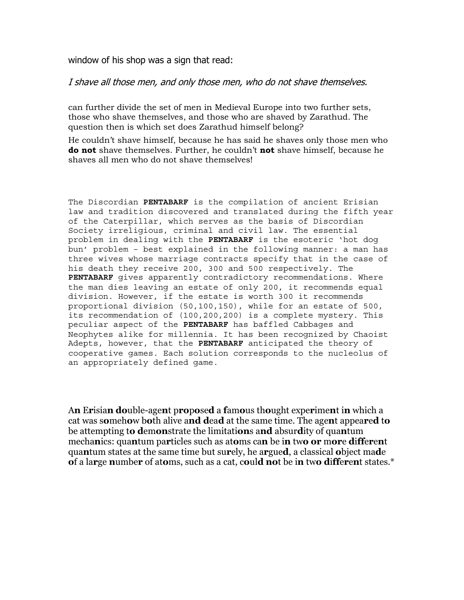window of his shop was a sign that read:

I shave all those men, and only those men, who do not shave themselves.

can further divide the set of men in Medieval Europe into two further sets, those who shave themselves, and those who are shaved by Zarathud. The question then is which set does Zarathud himself belong?

He couldn't shave himself, because he has said he shaves only those men who **do not** shave themselves. Further, he couldn't **not** shave himself, because he shaves all men who do not shave themselves!

The Discordian **PENTABARF** is the compilation of ancient Erisian law and tradition discovered and translated during the fifth year of the Caterpillar, which serves as the basis of Discordian Society irreligious, criminal and civil law. The essential problem in dealing with the **PENTABARF** is the esoteric 'hot dog bun' problem – best explained in the following manner: a man has three wives whose marriage contracts specify that in the case of his death they receive 200, 300 and 500 respectively. The **PENTABARF** gives apparently contradictory recommendations. Where the man dies leaving an estate of only 200, it recommends equal division. However, if the estate is worth 300 it recommends proportional division (50,100,150), while for an estate of 500, its recommendation of (100,200,200) is a complete mystery. This peculiar aspect of the **PENTABARF** has baffled Cabbages and Neophytes alike for millennia. It has been recognized by Chaoist Adepts, however, that the **PENTABARF** anticipated the theory of cooperative games. Each solution corresponds to the nucleolus of an appropriately defined game.

A**n** E**r**isia**n do**uble-age**n**t p**ro**p**o**se**d** a **f**am**o**us th**o**ught expe**r**ime**n**t i**n** which a cat was s**o**meh**o**w b**o**th alive a**nd d**ea**d** at the same time. The age**n**t appea**r**e**d** t**o** be attempting t**o d**em**on**strate the limitati**on**s a**nd** absur**d**ity of qua**n**tum mecha**n**ics: qua**n**tum pa**r**ticles such as at**o**ms ca**n** be i**n** tw**o or** m**or**e **d**i**ff**e**r**e**n**t qua**n**tum states at the same time but su**r**ely, he a**r**gue**d**, a classical **o**bject ma**d**e **o**f a la**r**ge **n**umbe**r** of at**o**ms, such as a cat, c**o**ul**d no**t be i**n** tw**o d**i**ff**e**r**e**n**t states.\*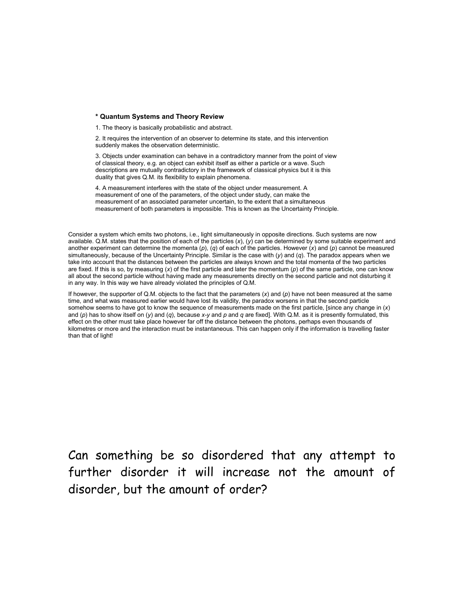#### **\* Quantum Systems and Theory Review**

1. The theory is basically probabilistic and abstract.

2. It requires the intervention of an observer to determine its state, and this intervention suddenly makes the observation deterministic.

3. Objects under examination can behave in a contradictory manner from the point of view of classical theory, e.g. an object can exhibit itself as either a particle or a wave. Such descriptions are mutually contradictory in the framework of classical physics but it is this duality that gives Q.M. its flexibility to explain phenomena.

4. A measurement interferes with the state of the object under measurement. A measurement of one of the parameters, of the object under study, can make the measurement of an associated parameter uncertain, to the extent that a simultaneous measurement of both parameters is impossible. This is known as the Uncertainty Principle.

Consider a system which emits two photons, i.e., light simultaneously in opposite directions. Such systems are now available. Q.M. states that the position of each of the particles (*x*), (*y*) can be determined by some suitable experiment and another experiment can determine the momenta (*p*), (*q*) of each of the particles. However (*x*) and (*p*) cannot be measured simultaneously, because of the Uncertainty Principle. Similar is the case with (*y*) and (*q*). The paradox appears when we take into account that the distances between the particles are always known and the total momenta of the two particles are fixed. If this is so, by measuring (*x*) of the first particle and later the momentum (*p*) of the same particle, one can know all about the second particle without having made any measurements directly on the second particle and not disturbing it in any way. In this way we have already violated the principles of Q.M.

If however, the supporter of Q.M. objects to the fact that the parameters (*x*) and (*p*) have not been measured at the same time, and what was measured earlier would have lost its validity, the paradox worsens in that the second particle somehow seems to have got to know the sequence of measurements made on the first particle, [since any change in (*x*) and (*p*) has to show itself on (*y*) and (*q*), because *x-y* and *p* and *q* are fixed]. With Q.M. as it is presently formulated, this effect on the other must take place however far off the distance between the photons, perhaps even thousands of kilometres or more and the interaction must be instantaneous. This can happen only if the information is travelling faster than that of light!

Can something be so disordered that any attempt to further disorder it will increase not the amount of disorder, but the amount of order?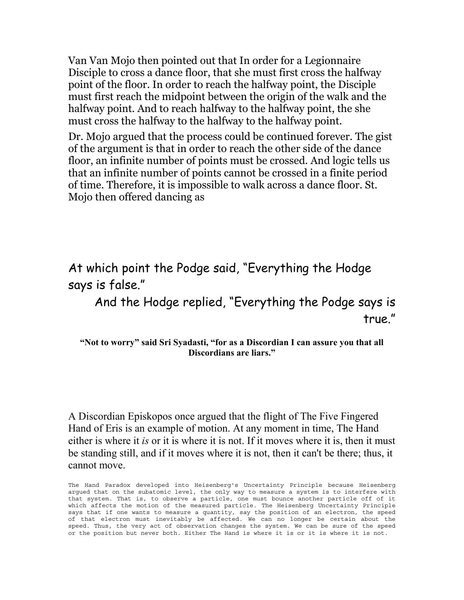Van Van Mojo then pointed out that In order for a Legionnaire Disciple to cross a dance floor, that she must first cross the halfway point of the floor. In order to reach the halfway point, the Disciple must first reach the midpoint between the origin of the walk and the halfway point. And to reach halfway to the halfway point, the she must cross the halfway to the halfway to the halfway point.

Dr. Mojo argued that the process could be continued forever. The gist of the argument is that in order to reach the other side of the dance floor, an infinite number of points must be crossed. And logic tells us that an infinite number of points cannot be crossed in a finite period of time. Therefore, it is impossible to walk across a dance floor. St. Mojo then offered dancing as

At which point the Podge said, "Everything the Hodge says is false."

And the Hodge replied, "Everything the Podge says is true."

**"Not to worry" said Sri Syadasti, "for as a Discordian I can assure you that all Discordians are liars."** 

A Discordian Episkopos once argued that the flight of The Five Fingered Hand of Eris is an example of motion. At any moment in time, The Hand either is where it *is* or it is where it is not. If it moves where it is, then it must be standing still, and if it moves where it is not, then it can't be there; thus, it cannot move.

The Hand Paradox developed into Heisenberg's Uncertainty Principle because Heisenberg argued that on the subatomic level, the only way to measure a system is to interfere with that system. That is, to observe a particle, one must bounce another particle off of it which affects the motion of the measured particle. The Heisenberg Uncertainty Principle says that if one wants to measure a quantity, say the position of an electron, the speed of that electron must inevitably be affected. We can no longer be certain about the speed. Thus, the very act of observation changes the system. We can be sure of the speed or the position but never both. Either The Hand is where it is or it is where it is not.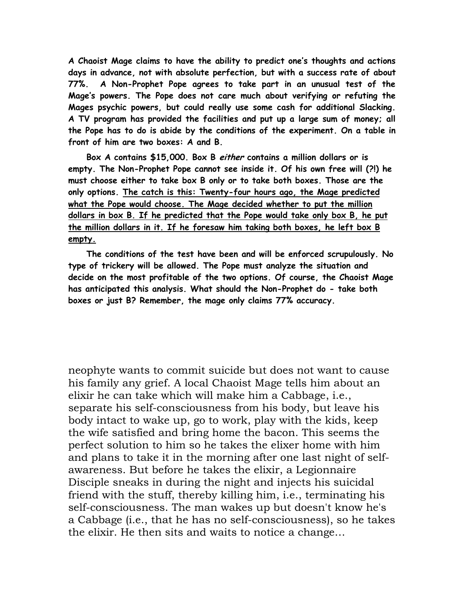**A Chaoist Mage claims to have the ability to predict one's thoughts and actions days in advance, not with absolute perfection, but with a success rate of about 77%. A Non-Prophet Pope agrees to take part in an unusual test of the Mage's powers. The Pope does not care much about verifying or refuting the Mages psychic powers, but could really use some cash for additional Slacking. A TV program has provided the facilities and put up a large sum of money; all the Pope has to do is abide by the conditions of the experiment. On a table in front of him are two boxes: A and B.** 

 **Box A contains \$15,000. Box B either contains a million dollars or is empty. The Non-Prophet Pope cannot see inside it. Of his own free will (?!) he must choose either to take box B only or to take both boxes. Those are the only options. The catch is this: Twenty-four hours ago, the Mage predicted what the Pope would choose. The Mage decided whether to put the million dollars in box B. If he predicted that the Pope would take only box B, he put the million dollars in it. If he foresaw him taking both boxes, he left box B empty.**

 **The conditions of the test have been and will be enforced scrupulously. No type of trickery will be allowed. The Pope must analyze the situation and decide on the most profitable of the two options. Of course, the Chaoist Mage has anticipated this analysis. What should the Non-Prophet do - take both boxes or just B? Remember, the mage only claims 77% accuracy.**

neophyte wants to commit suicide but does not want to cause his family any grief. A local Chaoist Mage tells him about an elixir he can take which will make him a Cabbage, i.e., separate his self-consciousness from his body, but leave his body intact to wake up, go to work, play with the kids, keep the wife satisfied and bring home the bacon. This seems the perfect solution to him so he takes the elixer home with him and plans to take it in the morning after one last night of selfawareness. But before he takes the elixir, a Legionnaire Disciple sneaks in during the night and injects his suicidal friend with the stuff, thereby killing him, i.e., terminating his self-consciousness. The man wakes up but doesn't know he's a Cabbage (i.e., that he has no self-consciousness), so he takes the elixir. He then sits and waits to notice a change…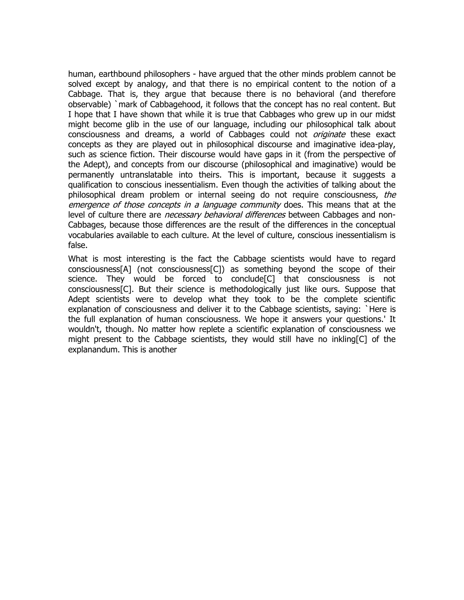human, earthbound philosophers - have argued that the other minds problem cannot be solved except by analogy, and that there is no empirical content to the notion of a Cabbage. That is, they argue that because there is no behavioral (and therefore observable) `mark of Cabbagehood, it follows that the concept has no real content. But I hope that I have shown that while it is true that Cabbages who grew up in our midst might become glib in the use of our language, including our philosophical talk about consciousness and dreams, a world of Cabbages could not originate these exact concepts as they are played out in philosophical discourse and imaginative idea-play, such as science fiction. Their discourse would have gaps in it (from the perspective of the Adept), and concepts from our discourse (philosophical and imaginative) would be permanently untranslatable into theirs. This is important, because it suggests a qualification to conscious inessentialism. Even though the activities of talking about the philosophical dream problem or internal seeing do not require consciousness, the emergence of those concepts in a language community does. This means that at the level of culture there are *necessary behavioral differences* between Cabbages and non-Cabbages, because those differences are the result of the differences in the conceptual vocabularies available to each culture. At the level of culture, conscious inessentialism is false.

What is most interesting is the fact the Cabbage scientists would have to regard consciousness[A] (not consciousness[C]) as something beyond the scope of their science. They would be forced to conclude[C] that consciousness is not consciousness[C]. But their science is methodologically just like ours. Suppose that Adept scientists were to develop what they took to be the complete scientific explanation of consciousness and deliver it to the Cabbage scientists, saying: `Here is the full explanation of human consciousness. We hope it answers your questions.' It wouldn't, though. No matter how replete a scientific explanation of consciousness we might present to the Cabbage scientists, they would still have no inkling[C] of the explanandum. This is another